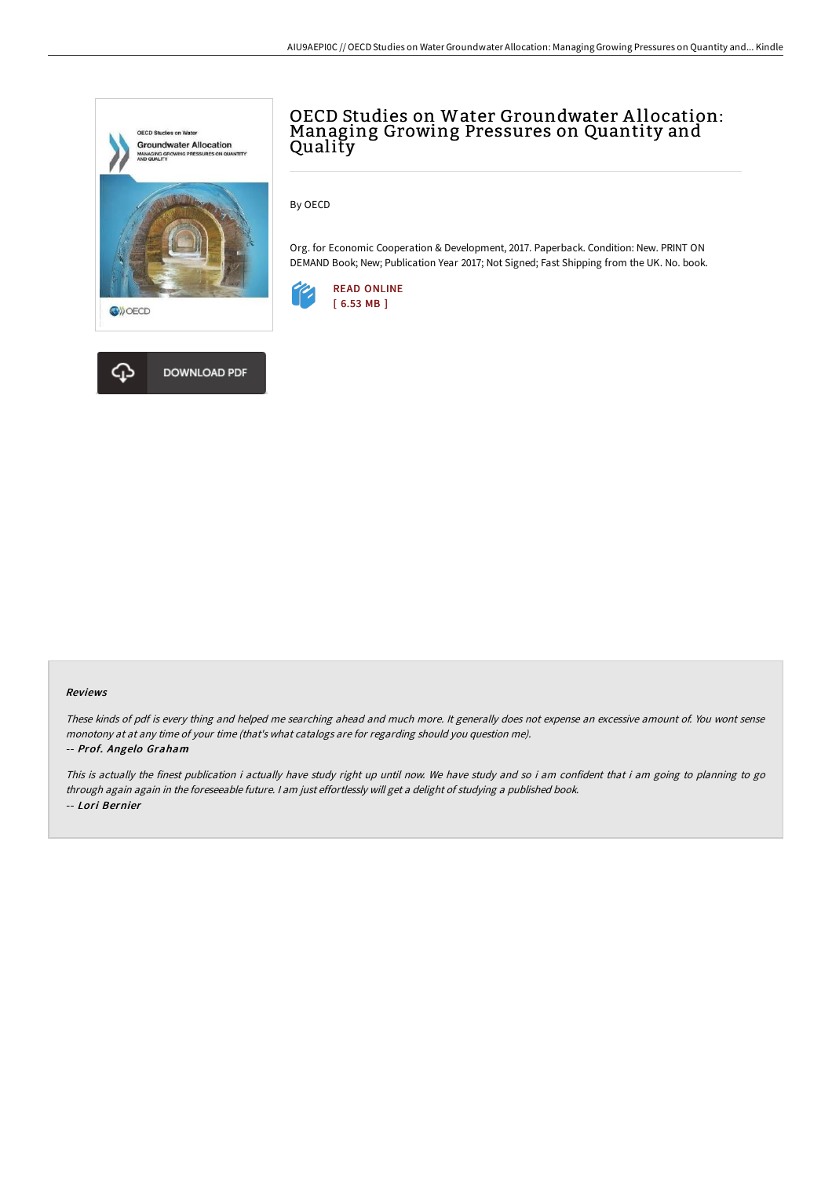



# OECD Studies on Water Groundwater A llocation: Managing Growing Pressures on Quantity and Quality

By OECD

Org. for Economic Cooperation & Development, 2017. Paperback. Condition: New. PRINT ON DEMAND Book; New; Publication Year 2017; Not Signed; Fast Shipping from the UK. No. book.



#### Reviews

These kinds of pdf is every thing and helped me searching ahead and much more. It generally does not expense an excessive amount of. You wont sense monotony at at any time of your time (that's what catalogs are for regarding should you question me).

### -- Prof. Angelo Graham

This is actually the finest publication i actually have study right up until now. We have study and so i am confident that i am going to planning to go through again again in the foreseeable future. <sup>I</sup> am just effortlessly will get <sup>a</sup> delight of studying <sup>a</sup> published book. -- Lori Bernier